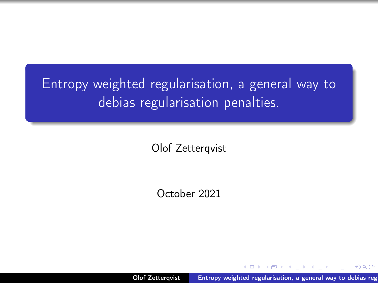# <span id="page-0-0"></span>Entropy weighted regularisation, a general way to debias regularisation penalties.

Olof Zetterqvist

October 2021

Olof Zetterqvist Entropy weighted regularisation, a general way to debias reg

つへへ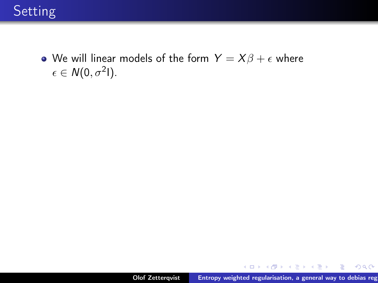

• We will linear models of the form  $Y = X\beta + \epsilon$  where  $\epsilon \in N(0, \sigma^2 I).$ 

メロメ メタメ メミメ メミメ

重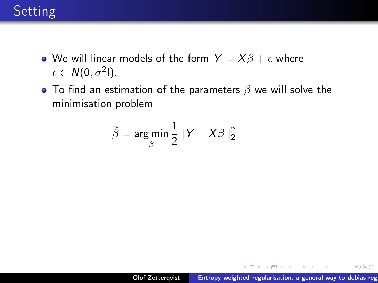# Setting

- We will linear models of the form  $Y = X\beta + \epsilon$  where  $\epsilon \in N(0, \sigma^2 I).$
- To find an estimation of the parameters  $\beta$  we will solve the minimisation problem

$$
\tilde{\beta} = \argmin_{\beta} \frac{1}{2} ||Y - X\beta||_2^2
$$

メロト メタト メミト メミト

 $298$ 

重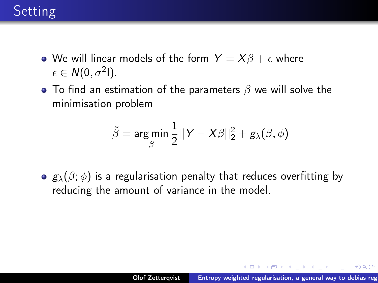# **Setting**

- We will linear models of the form  $Y = X\beta + \epsilon$  where  $\epsilon \in N(0, \sigma^2 I).$
- To find an estimation of the parameters  $\beta$  we will solve the minimisation problem

$$
\tilde{\beta} = \argmin_{\beta} \frac{1}{2} ||Y - X\beta||_2^2 + g_{\lambda}(\beta, \phi)
$$

 $\bullet$   $g_{\lambda}(\beta;\phi)$  is a regularisation penalty that reduces overfitting by reducing the amount of variance in the model.

メロメ メ御 メメ きょくほんし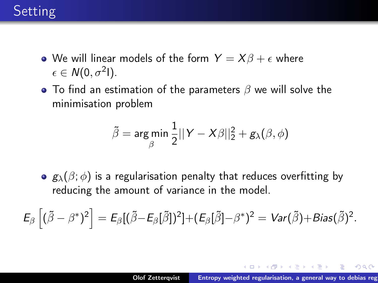# <span id="page-4-0"></span>**Setting**

- We will linear models of the form  $Y = X\beta + \epsilon$  where  $\epsilon \in N(0, \sigma^2 I).$
- To find an estimation of the parameters  $\beta$  we will solve the minimisation problem

$$
\tilde{\beta} = \argmin_{\beta} \frac{1}{2} ||Y - X\beta||_2^2 + g_{\lambda}(\beta, \phi)
$$

 $\bullet$   $g_{\lambda}(\beta;\phi)$  is a regularisation penalty that reduces overfitting by reducing the amount of variance in the model.

 $\mathsf{E}_\beta\left[(\tilde{\beta}-\beta^*)^2\right]=\mathsf{E}_\beta[(\tilde{\beta}-\mathsf{E}_\beta[\tilde{\beta}])^2]+(\mathsf{E}_\beta[\tilde{\beta}]-\beta^*)^2=\mathsf{Var}(\tilde{\beta})+\mathsf{Bias}(\tilde{\beta})^2.$ 

イロメ イ母メ イヨメ イヨメーヨー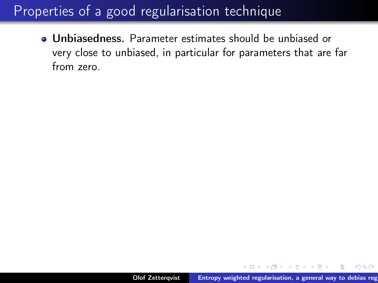<span id="page-5-0"></span>Unbiasedness. Parameter estimates should be unbiased or very close to unbiased, in particular for parameters that are far from zero.

医单位 医单位

 $OQ$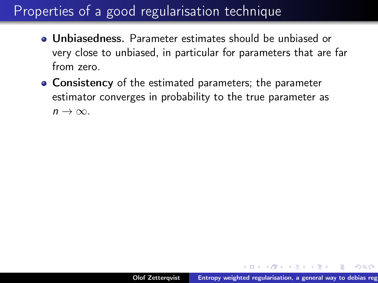- Unbiasedness. Parameter estimates should be unbiased or very close to unbiased, in particular for parameters that are far from zero.
- **Consistency** of the estimated parameters; the parameter estimator converges in probability to the true parameter as  $n \to \infty$ .

不重 医不重 医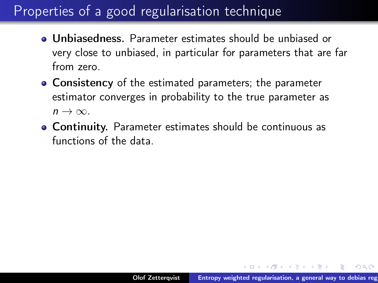- Unbiasedness. Parameter estimates should be unbiased or very close to unbiased, in particular for parameters that are far from zero.
- **Consistency** of the estimated parameters; the parameter estimator converges in probability to the true parameter as  $n \to \infty$ .
- Continuity. Parameter estimates should be continuous as functions of the data.

医单侧 医骨下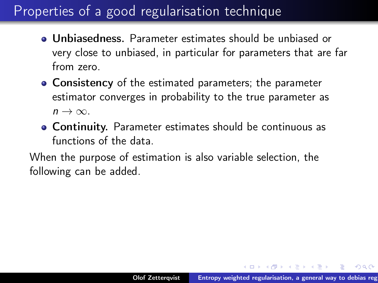- Unbiasedness. Parameter estimates should be unbiased or very close to unbiased, in particular for parameters that are far from zero.
- **Consistency** of the estimated parameters; the parameter estimator converges in probability to the true parameter as  $n \to \infty$ .
- Continuity. Parameter estimates should be continuous as functions of the data.

When the purpose of estimation is also variable selection, the following can be added.

押す マミキシマミャ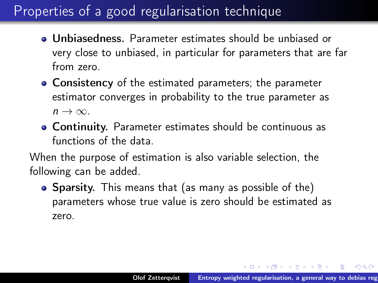- <span id="page-9-0"></span>Unbiasedness. Parameter estimates should be unbiased or very close to unbiased, in particular for parameters that are far from zero.
- **Consistency** of the estimated parameters; the parameter estimator converges in probability to the true parameter as  $n \to \infty$ .
- Continuity. Parameter estimates should be continuous as functions of the data.

When the purpose of estimation is also variable selection, the following can be added.

• Sparsity. This means that (as many as possible of the) parameters whose true value is zero should be estimated as zero.

メタト メミト メミト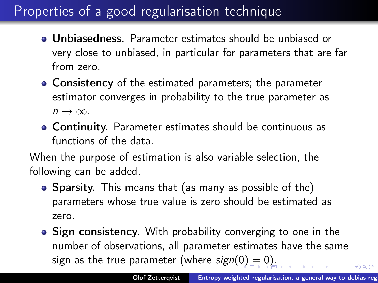- <span id="page-10-0"></span>Unbiasedness. Parameter estimates should be unbiased or very close to unbiased, in particular for parameters that are far from zero.
- **Consistency** of the estimated parameters; the parameter estimator converges in probability to the true parameter as  $n \to \infty$ .
- Continuity. Parameter estimates should be continuous as functions of the data.

When the purpose of estimation is also variable selection, the following can be added.

- Sparsity. This means that (as many as possible of the) parameters whose true value is zero should be estimated as zero.
- Sign consistency. With probability converging to one in the number of observations, all parameter estimates have the same sign as the true parameter (where  $sign(0) = 0$  $sign(0) = 0$  $sign(0) = 0$  $sign(0) = 0$  $sign(0) = 0$  $sign(0) = 0$ )[.](#page-10-0)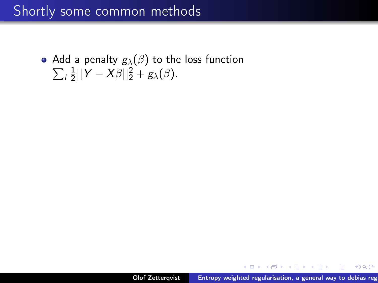# <span id="page-11-0"></span>Shortly some common methods

Add a penalty  $g_\lambda(\beta)$  to the loss function  $\sum_i \frac{1}{2}$  $\frac{1}{2}||Y-X\beta||_2^2 + g_{\lambda}(\beta).$ 

→ 伊 ▶ → 周 ▶ → 周 ▶

 $2Q$ 

э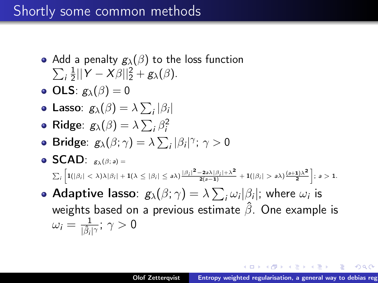### Shortly some common methods

- Add a penalty  $g_\lambda(\beta)$  to the loss function  $\sum_i \frac{1}{2}$  $\frac{1}{2}||Y-X\beta||_2^2 + g_{\lambda}(\beta).$
- OLS:  $g_{\lambda}(\beta) = 0$
- **Lasso:**  $g_{\lambda}(\beta) = \lambda \sum_i |\beta_i|$
- Ridge:  $g_{\lambda}(\beta) = \lambda \sum_i \beta_i^2$
- Bridge:  $g_{\lambda}(\beta;\gamma) = \lambda \sum_i |\beta_i|^{\gamma}; \gamma > 0$
- $\bullet$  SCAD:  $g_{\lambda}(\beta; a) =$  $\sum_i \left[ 1(|\beta_i| < \lambda) \lambda |\beta_i| + 1(\lambda \leq |\beta_i| \leq a\lambda) \frac{|\beta_i|^2 - 2a\lambda |\beta_i| + \lambda^2}{2(a-1)} + 1(|\beta_i| > a\lambda) \frac{(a+1)\lambda^2}{2} \right];\ a > 1.$
- Adaptive lasso:  $g_\lambda(\beta;\gamma)=\lambda\sum_i\omega_i|\beta_i|$ ; where  $\omega_i$  is weights based on a previous estimate  $\hat{\beta}$ . One example is  $\omega_i = \frac{1}{\hat{\beta}_i}$  $\frac{1}{|\hat{\beta}_i|^{\gamma}};\ \gamma>0$

→ イラン イヨン イヨン 一店

 $298$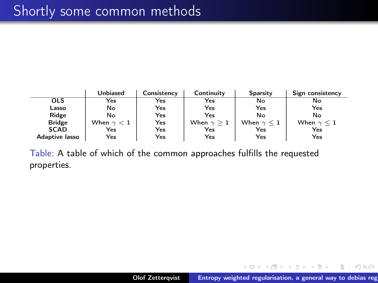|                       | <b>Unbiased</b>   | Consistency | Continuity        | Sparsity             | Sign consistency     |
|-----------------------|-------------------|-------------|-------------------|----------------------|----------------------|
| <b>OLS</b>            | Yes               | Yes         | Yes               | No                   | No                   |
| Lasso                 | No                | Yes         | Yes               | Yes                  | Yes                  |
| Ridge                 | No                | Yes         | Yes               | No                   | No                   |
| <b>Bridge</b>         | When $\gamma < 1$ | Yes         | When $\gamma > 1$ | When $\gamma \leq 1$ | When $\gamma \leq 1$ |
| <b>SCAD</b>           | Yes               | Yes         | Yes               | Yes                  | Yes                  |
| <b>Adaptive lasso</b> | Yes               | Yes         | Yes               | Yes                  | Yes                  |

Table: A table of which of the common approaches fulfills the requested properties.

メロメ メ御 メメ ミメ メ ミメー

 $299$ 

唾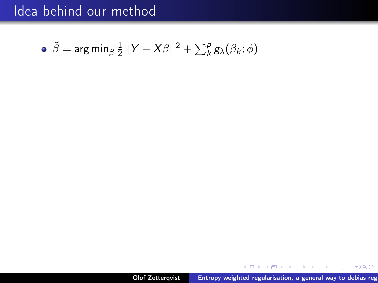• 
$$
\tilde{\beta} = \arg \min_{\beta} \frac{1}{2} ||Y - X\beta||^2 + \sum_{k}^{p} g_{\lambda}(\beta_k; \phi)
$$

メロメ メタメ メミメ メミメ

 $299$ 

重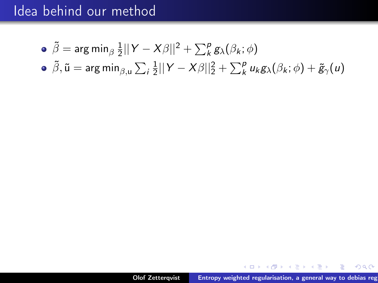- $\tilde{\beta} = \mathsf{arg} \, \mathsf{min}_\beta \, \frac{1}{2}$  $\frac{1}{2}||Y-X\beta||^2 + \sum_{k}^{p} g_{\lambda}(\beta_k; \phi)$
- $\tilde{\beta}, \tilde{\mathsf{u}} = \mathsf{arg\,min}_{\beta, \mathsf{u}} \sum_i \frac{1}{2}$  $\frac{1}{2}||Y-X\beta||_2^2 + \sum_k^p u_k g_\lambda(\beta_k; \phi) + \tilde{g}_\gamma(u)$

御き メミメメミメー

 $2Q$ 

净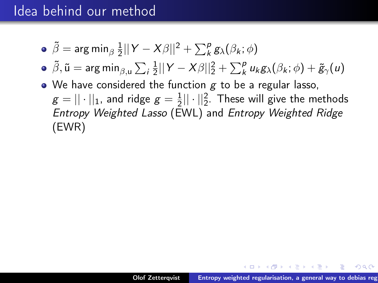- $\tilde{\beta} = \mathsf{arg} \, \mathsf{min}_\beta \, \frac{1}{2}$  $\frac{1}{2}||Y-X\beta||^2 + \sum_{k}^{p} g_{\lambda}(\beta_k; \phi)$
- $\tilde{\beta}, \tilde{\mathsf{u}} = \mathsf{arg\,min}_{\beta, \mathsf{u}} \sum_i \frac{1}{2}$  $\frac{1}{2}||Y-X\beta||_2^2 + \sum_k^p u_k g_\lambda(\beta_k; \phi) + \tilde{g}_\gamma(u)$
- $\bullet$  We have considered the function  $g$  to be a regular lasso,  $\mathcal{g} = ||\cdot||_1$ , and ridge  $\mathcal{g} = \frac{1}{2}$  $\frac{1}{2}||\cdot||_2^2$ . These will give the methods Entropy Weighted Lasso (EWL) and Entropy Weighted Ridge (EWR)

マーター マーティング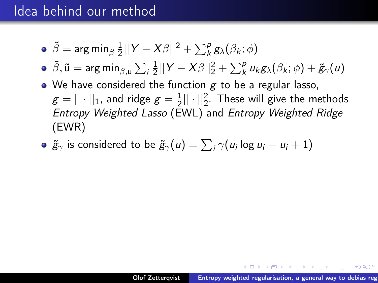• 
$$
\tilde{\beta} = \arg \min_{\beta} \frac{1}{2} ||Y - X\beta||^2 + \sum_{k}^{p} g_{\lambda}(\beta_k; \phi)
$$

• 
$$
\tilde{\beta}
$$
,  $\tilde{u} = \arg \min_{\beta, u} \sum_{i} \frac{1}{2} ||Y - X\beta||_2^2 + \sum_{k}^{p} u_k g_{\lambda}(\beta_k; \phi) + \tilde{g}_{\gamma}(u)$ 

- $\bullet$  We have considered the function  $g$  to be a regular lasso,  $\mathcal{g} = ||\cdot||_1$ , and ridge  $\mathcal{g} = \frac{1}{2}$  $\frac{1}{2}||\cdot||_2^2$ . These will give the methods Entropy Weighted Lasso (EWL) and Entropy Weighted Ridge (EWR)
- $\widetilde{g}_{\gamma}$  is considered to be  $\widetilde{g}_{\gamma}(u) = \sum_i \gamma(u_i \log u_i u_i + 1)$

→ イラン イヨン イヨン 一店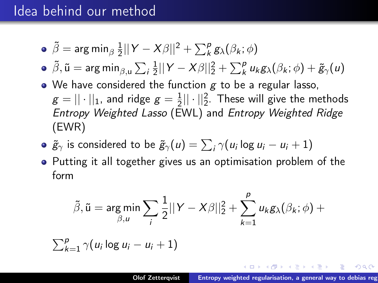• 
$$
\tilde{\beta} = \arg \min_{\beta} \frac{1}{2} ||Y - X\beta||^2 + \sum_{k}^{p} g_{\lambda}(\beta_k; \phi)
$$

• 
$$
\tilde{\beta}
$$
,  $\tilde{u} = \arg \min_{\beta, u} \sum_{i} \frac{1}{2} ||Y - X\beta||_2^2 + \sum_{k}^{p} u_k g_{\lambda}(\beta_k; \phi) + \tilde{g}_{\gamma}(u)$ 

- $\bullet$  We have considered the function g to be a regular lasso,  $\mathcal{g} = ||\cdot||_1$ , and ridge  $\mathcal{g} = \frac{1}{2}$  $\frac{1}{2}||\cdot||_2^2$ . These will give the methods Entropy Weighted Lasso (EWL) and Entropy Weighted Ridge (EWR)
- $\widetilde{g}_{\gamma}$  is considered to be  $\widetilde{g}_{\gamma}(u) = \sum_i \gamma(u_i \log u_i u_i + 1)$
- Putting it all together gives us an optimisation problem of the form

$$
\tilde{\beta}, \tilde{u} = \underset{\beta, u}{\arg \min} \sum_{i} \frac{1}{2} ||Y - X\beta||_2^2 + \sum_{k=1}^p u_k g_\lambda(\beta_k; \phi) + \sum_{k=1}^p \gamma(u_i \log u_i - u_i + 1)
$$

オター・メモ トラ モード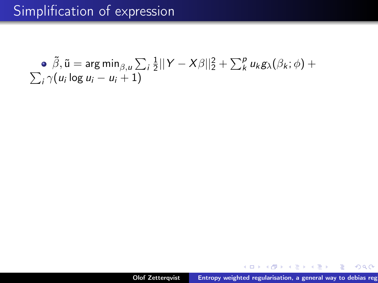• 
$$
\tilde{\beta}
$$
,  $\tilde{u} = \arg \min_{\beta, u} \sum_i \frac{1}{2} ||Y - X\beta||_2^2 + \sum_k^p u_k g_\lambda(\beta_k; \phi) + \sum_i \gamma(u_i \log u_i - u_i + 1)$ 

 $\mathcal{A}$  .

御 ト イヨ ト イヨ ト

 $299$ 

Ξ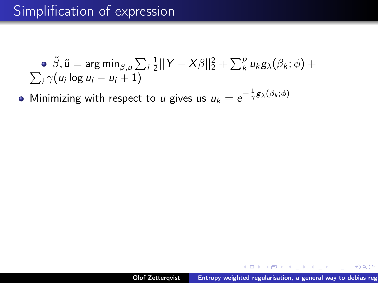• 
$$
\tilde{\beta}
$$
,  $\tilde{u} = \arg \min_{\beta, u} \sum_i \frac{1}{2} ||Y - X\beta||_2^2 + \sum_k^p u_k g_\lambda(\beta_k; \phi) + \sum_i \gamma(u_i \log u_i - u_i + 1)$ 

Minimizing with respect to *u* gives us  $u_k = e^{-\frac{1}{\gamma}g_\lambda(\beta_k;\phi)}$ 

押す マミキシマミャ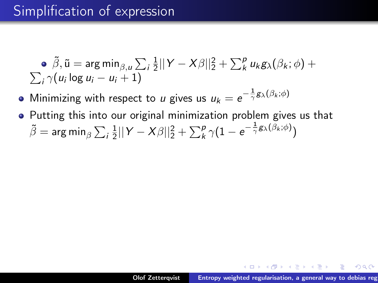$\tilde{\beta}, \tilde{\mathsf{u}} = \mathsf{arg\,min}_{\beta,\mu} \sum_i \frac{1}{2}$  $\frac{1}{2}||Y-X\beta||_2^2 + \sum_k^p u_k g_\lambda(\beta_k;\phi) +$  $\sum_i \gamma(u_i \log u_i - u_i + 1)$ 

Minimizing with respect to *u* gives us  $u_k = e^{-\frac{1}{\gamma}g_\lambda(\beta_k;\phi)}$ 

• Putting this into our original minimization problem gives us that  $\tilde{\beta} = \mathsf{arg\,min}_{\beta} \sum_i \frac{1}{2}$  $\frac{1}{2} ||Y-X\beta||_2^2 + \sum_k^p \gamma(1-e^{-\frac{1}{\gamma}\mathcal{B}_{\lambda}(\beta_k;\phi)})$ 

 $\mathcal{A}$  and  $\mathcal{A}$  in the set of  $\mathbb{R}$  is a set of  $\mathbb{R}$  is a set of  $\mathbb{R}$  is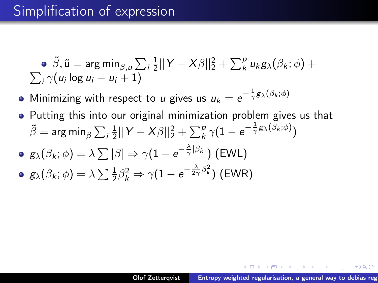$\tilde{\beta}, \tilde{\mathsf{u}} = \mathsf{arg\,min}_{\beta,\mu} \sum_i \frac{1}{2}$  $\frac{1}{2}||Y-X\beta||_2^2 + \sum_k^p u_k g_\lambda(\beta_k;\phi) +$  $\sum_i \gamma(u_i \log u_i - u_i + 1)$ 

Minimizing with respect to *u* gives us  $u_k = e^{-\frac{1}{\gamma}g_\lambda(\beta_k;\phi)}$ 

• Putting this into our original minimization problem gives us that  $\tilde{\beta} = \mathsf{arg\,min}_{\beta} \sum_i \frac{1}{2}$  $\frac{1}{2} ||Y-X\beta||_2^2 + \sum_k^p \gamma(1-e^{-\frac{1}{\gamma}\mathcal{B}_{\lambda}(\beta_k;\phi)})$  $\mathsf{g}_{\lambda}(\beta_{k};\phi)=\lambda\sum|\beta|\Rightarrow\gamma(1-e^{-\frac{\lambda}{\gamma}|\beta_{k}|})$  (EWL)  $g_{\lambda}(\beta_k;\phi)=\lambda\sum\frac{1}{2}\beta_k^2\Rightarrow\gamma(1-e^{-\frac{\lambda}{2\gamma}\beta_k^2})$  (EWR)

マーター マーティング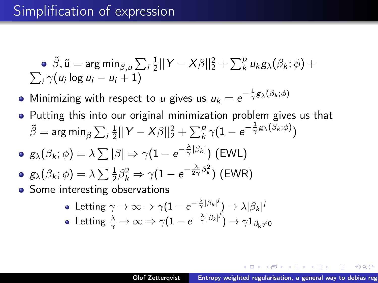$\tilde{\beta}, \tilde{\mathsf{u}} = \mathsf{arg\,min}_{\beta,\mu} \sum_i \frac{1}{2}$  $\frac{1}{2}||Y-X\beta||_2^2 + \sum_k^p u_k g_\lambda(\beta_k;\phi) +$  $\sum_i \gamma(u_i \log u_i - u_i + 1)$ 

Minimizing with respect to *u* gives us  $u_k = e^{-\frac{1}{\gamma}g_\lambda(\beta_k;\phi)}$ 

- Putting this into our original minimization problem gives us that  $\tilde{\beta} = \mathsf{arg\,min}_{\beta} \sum_i \frac{1}{2}$  $\frac{1}{2} ||Y-X\beta||_2^2 + \sum_k^p \gamma(1-e^{-\frac{1}{\gamma}\mathcal{B}_{\lambda}(\beta_k;\phi)})$
- $\mathsf{g}_{\lambda}(\beta_{k};\phi)=\lambda\sum|\beta|\Rightarrow\gamma(1-e^{-\frac{\lambda}{\gamma}|\beta_{k}|})$  (EWL)
- $g_{\lambda}(\beta_k;\phi)=\lambda\sum\frac{1}{2}\beta_k^2\Rightarrow\gamma(1-e^{-\frac{\lambda}{2\gamma}\beta_k^2})$  (EWR)
- Some interesting observations
	- Letting  $\gamma\rightarrow\infty\Rightarrow\gamma(1-e^{-\frac{\lambda}{\gamma}|\beta_k|^{j}})\rightarrow \lambda|\beta_k|^{j}$
	- Letting  $\frac{\lambda}{\gamma}\to\infty\Rightarrow \gamma(1-e^{-\frac{\lambda}{\gamma}|\beta_k|^j})\to \gamma 1_{\beta_{\bf k}\neq 0}$

イロメ イ押 トイラ トイラメー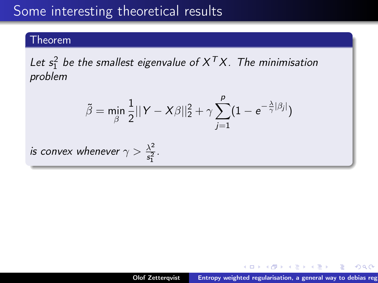### Some interesting theoretical results

#### Theorem

Let  $s_1^2$  be the smallest eigenvalue of  $X^TX$ . The minimisation problem

$$
\tilde{\beta} = \min_{\beta} \frac{1}{2} ||Y - X\beta||_2^2 + \gamma \sum_{j=1}^p (1 - e^{-\frac{\lambda}{\gamma}|\beta_j|})
$$

is convex whenever  $\gamma > \frac{\lambda^2}{\epsilon^2}$  $rac{\lambda^2}{s_1^2}$ .

御 ▶ イヨ ▶ イヨ ▶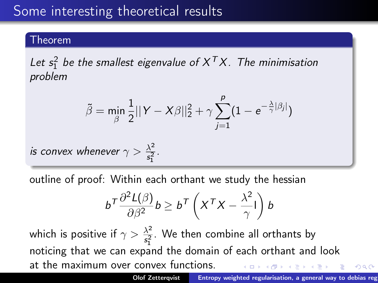# Some interesting theoretical results

#### Theorem

Let  $s_1^2$  be the smallest eigenvalue of  $X^TX$ . The minimisation problem

$$
\tilde{\beta} = \min_{\beta} \frac{1}{2} ||Y - X\beta||_2^2 + \gamma \sum_{j=1}^p (1 - e^{-\frac{\lambda}{\gamma}|\beta_j|})
$$

is convex whenever  $\gamma > \frac{\lambda^2}{\epsilon^2}$  $rac{\lambda^2}{s_1^2}$ .

outline of proof: Within each orthant we study the hessian

$$
b^{\mathsf{T}}\frac{\partial^2 \mathsf{L}(\beta)}{\partial \beta^2}b \geq b^{\mathsf{T}}\left(X^{\mathsf{T}}X - \frac{\lambda^2}{\gamma}\mathsf{I}\right)b
$$

which is positive if  $\gamma > \frac{\lambda^2}{\epsilon^2}$  $\frac{\lambda^2}{s_1^2}$ . We then combine all orthants by noticing that we can expand the domain of each orthant and look at the maximum over convex functions.  $\mathbb{R}^n$  is a  $\mathbb{R}^n$  is  $\Omega$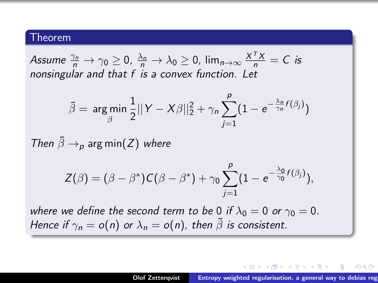#### Theorem

Assume  $\frac{\gamma_n}{n} \to \gamma_0 \ge 0$ ,  $\frac{\lambda_n}{n} \to \lambda_0 \ge 0$ ,  $\lim_{n \to \infty} \frac{X^T X}{n} = C$  is nonsingular and that f is a convex function. Let

$$
\tilde{\beta} = \underset{\beta}{\arg\min} \frac{1}{2} ||Y - X\beta||_2^2 + \gamma_n \sum_{j=1}^p (1 - e^{-\frac{\lambda_n}{\gamma_n} f(\beta_j)})
$$

Then  $\tilde{\beta} \rightarrow_{p}$  arg min(Z) where

$$
Z(\beta)=(\beta-\beta^*)C(\beta-\beta^*)+\gamma_0\sum_{j=1}^p(1-e^{-\frac{\lambda_0}{\gamma_0}f(\beta_j)}),
$$

where we define the second term to be 0 if  $\lambda_0 = 0$  or  $\gamma_0 = 0$ . Hence if  $\gamma_n = o(n)$  or  $\lambda_n = o(n)$ , then  $\tilde{\beta}$  is consistent.

メロメ メタメ メミメ メミメン ミ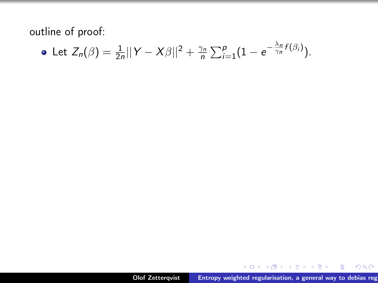outline of proof:

• Let 
$$
Z_n(\beta) = \frac{1}{2n} ||Y - X\beta||^2 + \frac{\gamma_n}{n} \sum_{i=1}^p (1 - e^{-\frac{\lambda_n}{\gamma_n} f(\beta_i)})
$$
.

メロメメ 御 トメ ミトメ ミト

 $299$ 

重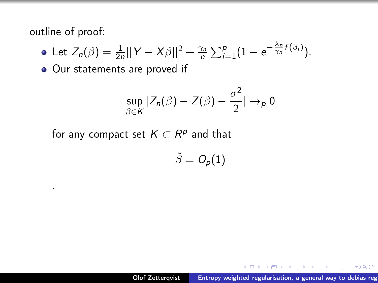outline of proof:

.

• Let 
$$
Z_n(\beta) = \frac{1}{2n} ||Y - X\beta||^2 + \frac{\gamma_n}{n} \sum_{i=1}^p (1 - e^{-\frac{\lambda_n}{\gamma_n} f(\beta_i)})
$$
.

o Our statements are proved if

$$
\sup_{\beta\in K}|Z_n(\beta)-Z(\beta)-\frac{\sigma^2}{2}|\to_p 0
$$

for any compact set  $K\subset R^p$  and that

$$
\tilde{\beta}=O_p(1)
$$

御 ▶ イ君 ▶ イ君 ▶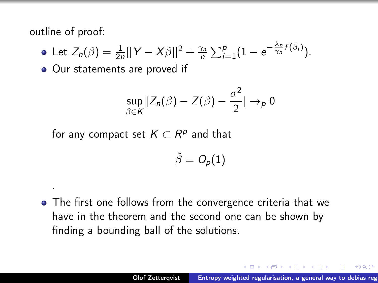outline of proof:

.

• Let 
$$
Z_n(\beta) = \frac{1}{2n} ||Y - X\beta||^2 + \frac{\gamma_n}{n} \sum_{i=1}^p (1 - e^{-\frac{\lambda_n}{\gamma_n} f(\beta_i)})
$$
.

• Our statements are proved if

$$
\sup_{\beta\in\mathsf{K}}|Z_n(\beta)-Z(\beta)-\frac{\sigma^2}{2}|\to_p 0
$$

for any compact set  $K\subset R^p$  and that

$$
\tilde{\beta}=O_p(1)
$$

The first one follows from the convergence criteria that we have in the theorem and the second one can be shown by finding a bounding ball of the solutions.

A + + = + + = +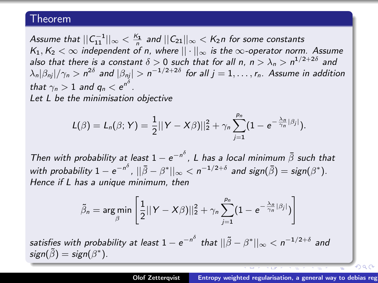#### Theorem

Assume that  $||\mathcal{C}_{11}^{-1}||_{\infty}<\frac{\mathcal{K}_{1}}{n}$  and  $||\mathcal{C}_{21}||_{\infty}<\mathcal{K}_{2}$ n for some constants K<sub>1</sub>, K<sub>2</sub>  $\lt \infty$  independent of n, where  $||\cdot||_{\infty}$  is the  $\infty$ -operator norm. Assume K<sub>1</sub>, K<sub>2</sub>  $\lt \infty$  independent of n, where  $||\cdot||_{\infty}$  is the  $\infty$ -operator norm. Assume also that there is a constant  $\delta>0$  such that for all n,  $n>\lambda_n>n^{1/2+2\delta}$  and  $|\lambda_n|\beta_{nj}|/\gamma_n>n^{2\delta}$  and  $|\beta_{nj}|> n^{-1/2+2\delta}$  for all  $j=1,\ldots,r_n.$  Assume in addition that  $\gamma_n > 1$  and  $q_n < e^{n^{\delta}}$ . Let L be the minimisation objective

$$
L(\beta)=L_n(\beta;Y)=\frac{1}{2}||Y-X\beta)||_2^2+\gamma_n\sum_{j=1}^{p_n}(1-e^{-\frac{\lambda_n}{\gamma_n}|\beta_j|}).
$$

Then with probability at least  $1 - e^{-n^{\delta}}$ , L has a local minimum  $\bar{\beta}$  such that with probability  $1-e^{-n^{\delta}}$  ,  $||\bar{\beta}-\beta^*||_{\infty} < n^{-1/2+\delta}$  and  $\mathsf{sign}(\bar{\beta}) = \mathsf{sign}(\beta^*).$ Hence if L has a unique minimum, then

$$
\tilde{\beta}_n = \argmin_{\beta} \left[ \frac{1}{2} ||Y - X\beta||_2^2 + \gamma_n \sum_{j=1}^{p_n} (1 - e^{-\frac{\lambda_n}{\gamma_n} |\beta_j|}) \right]
$$

satisfies with probability at least  $1-e^{-n^{\delta}}$  that  $||\tilde{\beta}-\beta^*||_{\infty} < n^{-1/2+\delta}$  and  $sign(\tilde{\beta}) = sign(\beta^*)$ .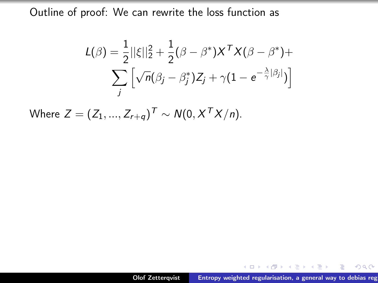$$
L(\beta) = \frac{1}{2} ||\xi||_2^2 + \frac{1}{2} (\beta - \beta^*) X^T X (\beta - \beta^*) +
$$

$$
\sum_j \left[ \sqrt{n} (\beta_j - \beta_j^*) Z_j + \gamma (1 - e^{-\frac{\lambda}{\gamma} |\beta_j|}) \right]
$$

Where  $Z = (Z_1, ..., Z_{r+q})^T \sim N(0, X^T X/n)$ .

メタトメ ミトメ ヨト

 $2Q$ 

重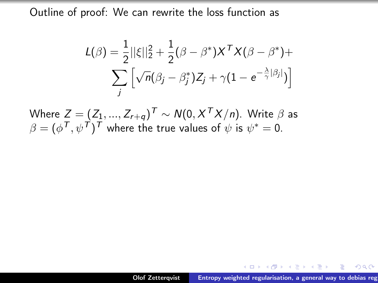$$
L(\beta) = \frac{1}{2} ||\xi||_2^2 + \frac{1}{2} (\beta - \beta^*) X^T X (\beta - \beta^*) +
$$

$$
\sum_j \left[ \sqrt{n} (\beta_j - \beta_j^*) Z_j + \gamma (1 - e^{-\frac{\lambda}{\gamma} |\beta_j|}) \right]
$$

Where  $Z=(Z_1,...,Z_{r+q})^{\mathcal{T}}\sim \mathcal{N}(0,\mathcal{X}^{\mathcal{T}}\mathcal{X}/n).$  Write  $\beta$  as  $\beta=(\phi^{\textstyle\mathsf{T}},\psi^{\textstyle\mathsf{T}})^{\textstyle\mathsf{T}}$  where the true values of  $\psi$  is  $\psi^*=0.$ 

押す マミチン エミチー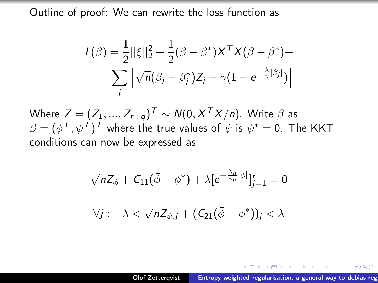$$
L(\beta) = \frac{1}{2} ||\xi||_2^2 + \frac{1}{2} (\beta - \beta^*) X^T X (\beta - \beta^*) +
$$

$$
\sum_j \left[ \sqrt{n} (\beta_j - \beta_j^*) Z_j + \gamma (1 - e^{-\frac{\lambda}{\gamma} |\beta_j|}) \right]
$$

Where  $Z=(Z_1,...,Z_{r+q})^{\mathcal{T}}\sim \mathcal{N}(0,\mathcal{X}^{\mathcal{T}}\mathcal{X}/n).$  Write  $\beta$  as  $\beta=(\phi^{\mathsf{T}},\psi^{\mathsf{T}})^{\mathsf{T}}$  where the true values of  $\psi$  is  $\psi^*=$  0. The KKT conditions can now be expressed as

$$
\sqrt{n}Z_{\phi} + C_{11}(\bar{\phi} - \phi^*) + \lambda [e^{-\frac{\lambda_n}{\gamma_n}|\phi|}]_{j=1}^r = 0
$$
  

$$
\forall j : -\lambda < \sqrt{n}Z_{\psi,j} + (C_{21}(\bar{\phi} - \phi^*))_j < \lambda
$$

押す マミアマ ミアーニ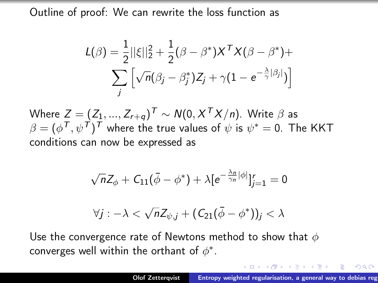<span id="page-34-0"></span>
$$
L(\beta) = \frac{1}{2} ||\xi||_2^2 + \frac{1}{2} (\beta - \beta^*) X^T X (\beta - \beta^*) +
$$

$$
\sum_j \left[ \sqrt{n} (\beta_j - \beta_j^*) Z_j + \gamma (1 - e^{-\frac{\lambda}{\gamma} |\beta_j|}) \right]
$$

Where  $Z=(Z_1,...,Z_{r+q})^{\mathcal{T}}\sim \mathcal{N}(0,\mathcal{X}^{\mathcal{T}}\mathcal{X}/n).$  Write  $\beta$  as  $\beta=(\phi^{\mathsf{T}},\psi^{\mathsf{T}})^{\mathsf{T}}$  where the true values of  $\psi$  is  $\psi^*=$  0. The KKT conditions can now be expressed as

$$
\sqrt{n}Z_{\phi}+C_{11}(\bar{\phi}-\phi^*)+\lambda[e^{-\frac{\lambda_n}{\gamma_n}|\phi|}]_{j=1}^r=0
$$

$$
\forall j : -\lambda < \sqrt{n} Z_{\psi,j} + (C_{21}(\bar{\phi} - \phi^*))_j < \lambda
$$

Use the convergence rate of Newtons method to show that  $\phi$ converges well within the orthant of  $\phi^*$ .

押す マミキシマミャ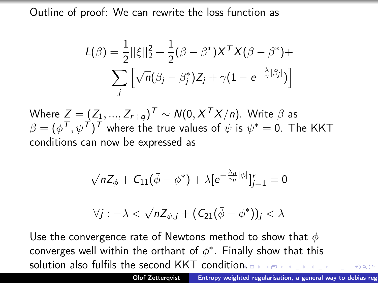$$
L(\beta) = \frac{1}{2} ||\xi||_2^2 + \frac{1}{2} (\beta - \beta^*) X^T X (\beta - \beta^*) +
$$

$$
\sum_j \left[ \sqrt{n} (\beta_j - \beta_j^*) Z_j + \gamma (1 - e^{-\frac{\lambda}{\gamma} |\beta_j|}) \right]
$$

Where  $Z=(Z_1,...,Z_{r+q})^{\mathcal{T}}\sim \mathcal{N}(0,\mathcal{X}^{\mathcal{T}}\mathcal{X}/n).$  Write  $\beta$  as  $\beta=(\phi^{\mathsf{T}},\psi^{\mathsf{T}})^{\mathsf{T}}$  where the true values of  $\psi$  is  $\psi^*=$  0. The KKT conditions can now be expressed as

$$
\sqrt{n}Z_{\phi}+C_{11}(\bar{\phi}-\phi^*)+\lambda[e^{-\frac{\lambda_n}{\gamma_n}|\phi|}]_{j=1}^r=0
$$

$$
\forall j : -\lambda < \sqrt{n} Z_{\psi,j} + (C_{21}(\bar{\phi} - \phi^*))_j < \lambda
$$

Use the convergence rate of Newtons method to show that  $\phi$ converges well within the orthant of  $\phi^*$ . Finally show that this solution also fulfils the second KKT conditio[n.](#page-34-0)

 $OQ$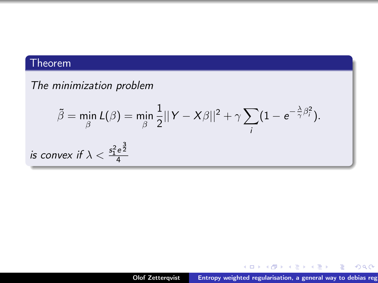#### Theorem

 $is$ 

#### The minimization problem

$$
\tilde{\beta} = \min_{\beta} L(\beta) = \min_{\beta} \frac{1}{2} ||Y - X\beta||^2 + \gamma \sum_{i} (1 - e^{-\frac{\lambda}{\gamma} \beta_i^2}).
$$
  
convex if  $\lambda < \frac{s_1^2 e^{\frac{3}{2}}}{4}$ 

メロトメ 御 トメ 君 トメ 君 トッ

重

 $299$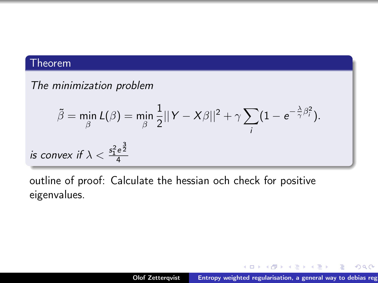#### Theorem

#### The minimization problem

$$
\tilde{\beta} = \min_{\beta} L(\beta) = \min_{\beta} \frac{1}{2} ||Y - X\beta||^2 + \gamma \sum_{i} (1 - e^{-\frac{\lambda}{\gamma}\beta_i^2}).
$$
  
is convex if  $\lambda < \frac{s_1^2 e^{\frac{3}{2}}}{4}$ 

outline of proof: Calculate the hessian och check for positive eigenvalues.

メロメ メタメ メミメ メミメ

 $298$ 

重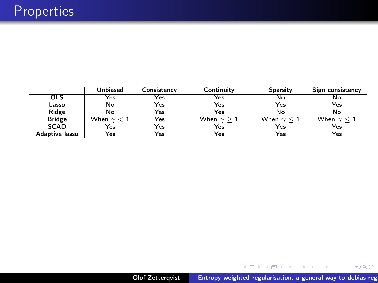|                       | <b>Unbiased</b>   | Consistency | Continuity        | Sparsity             | Sign consistency     |
|-----------------------|-------------------|-------------|-------------------|----------------------|----------------------|
| <b>OLS</b>            | Yes               | Yes         | Yes               | No                   | No                   |
| Lasso                 | No                | Yes         | Yes               | Yes                  | Yes                  |
| Ridge                 | No                | Yes         | Yes               | No                   | No                   |
| <b>Bridge</b>         | When $\gamma < 1$ | Yes         | When $\gamma > 1$ | When $\gamma \leq 1$ | When $\gamma \leq 1$ |
| <b>SCAD</b>           | Yes               | Yes         | Yes               | Yes                  | Yes                  |
| <b>Adaptive lasso</b> | Yes               | Yes         | Yes               | Yes                  | Yes                  |

メロトメ 御 トメ 君 トメ 君 トー 君 …

 $299$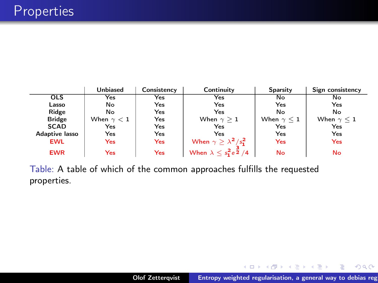|                       | <b>Unbiased</b>   | Consistency | Continuity                                  | Sparsity             | Sign consistency  |
|-----------------------|-------------------|-------------|---------------------------------------------|----------------------|-------------------|
| <b>OLS</b>            | Yes               | Yes         | Yes                                         | No                   | No                |
| Lasso                 | No                | Yes         | Yes                                         | Yes                  | Yes               |
| Ridge                 | No                | Yes         | Yes                                         | No                   | No                |
| <b>Bridge</b>         | When $\gamma < 1$ | Yes         | When $\gamma > 1$                           | When $\gamma \leq 1$ | When $\gamma < 1$ |
| <b>SCAD</b>           | Yes               | Yes         | Yes                                         | Yes                  | Yes               |
| <b>Adaptive lasso</b> | Yes               | Yes         | Yes                                         | Yes                  | Yes               |
| <b>EWL</b>            | Yes               | Yes         | When $\gamma \geq \lambda^2/s_1^2$          | Yes                  | Yes               |
| <b>EWR</b>            | Yes               | Yes         | When $\lambda \leq s_1^2 e^{\frac{3}{2}}/4$ | <b>No</b>            | No                |

Table: A table of which of the common approaches fulfills the requested properties.

メロト メタト メミト メミト

重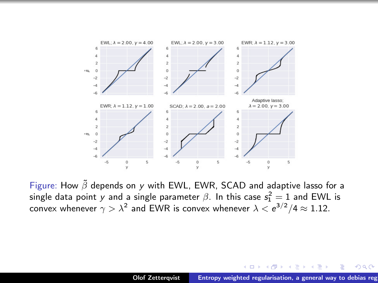

Figure: How  $\tilde{\beta}$  depends on y with EWL, EWR, SCAD and adaptive lasso for a single data point  $y$  and a single parameter  $\beta.$  In this case  $\mathsf{s}_1^2=1$  and EWL is convex whenever  $\gamma>\lambda^2$  and EWR is convex whenever  $\lambda<{\rm e}^{3/2}/4\approx 1.12.$ 

メロメ メ御 メメ きょくきょ

重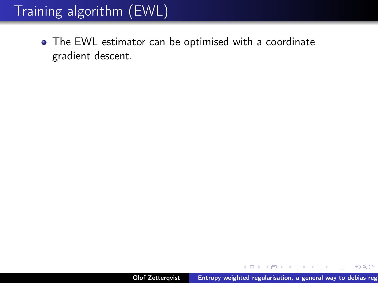# Training algorithm (EWL)

The EWL estimator can be optimised with a coordinate gradient descent.

御 ▶ イ君 ▶ イ君 ▶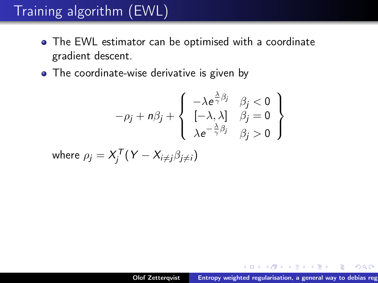# Training algorithm (EWL)

- The EWL estimator can be optimised with a coordinate gradient descent.
- The coordinate-wise derivative is given by

$$
-\rho_j + n\beta_j + \left\{ \begin{array}{ll} -\lambda e^{\frac{\lambda}{\gamma}\beta_j} & \beta_j < 0 \\ [-\lambda, \lambda] & \beta_j = 0 \\ \lambda e^{-\frac{\lambda}{\gamma}\beta_j} & \beta_j > 0 \end{array} \right\}
$$

where  $\rho_j = X_j^{\mathcal{T}}(Y - X_{i \neq j} \beta_{j \neq i})$ 

→ イ母 ト イ ヨ ト イ ヨ ト ー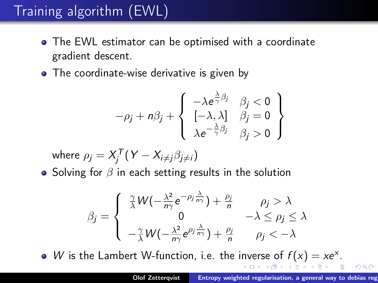# Training algorithm (EWL)

- The EWL estimator can be optimised with a coordinate gradient descent.
- The coordinate-wise derivative is given by

$$
-\rho_j + n\beta_j + \left\{ \begin{array}{ll} -\lambda e^{\frac{\lambda}{\gamma}\beta_j} & \beta_j < 0 \\ [-\lambda, \lambda] & \beta_j = 0 \\ \lambda e^{-\frac{\lambda}{\gamma}\beta_j} & \beta_j > 0 \end{array} \right\}
$$

where 
$$
\rho_j = X_j^T (Y - X_{i \neq j} \beta_{j \neq i})
$$

• Solving for  $\beta$  in each setting results in the solution

$$
\beta_j = \begin{cases}\n\frac{\gamma}{\lambda} W(-\frac{\lambda^2}{n\gamma}e^{-\rho_j \frac{\lambda}{n\gamma}}) + \frac{\rho_j}{n} & \rho_j > \lambda \\
0 & -\lambda \le \rho_j \le \lambda \\
-\frac{\gamma}{\lambda} W(-\frac{\lambda^2}{n\gamma}e^{\rho_j \frac{\lambda}{n\gamma}}) + \frac{\rho_j}{n} & \rho_j < -\lambda\n\end{cases}
$$

W is the Lambert W-function, i.e. the inverse of  $f(x) = xe^{x}$ .  $-990$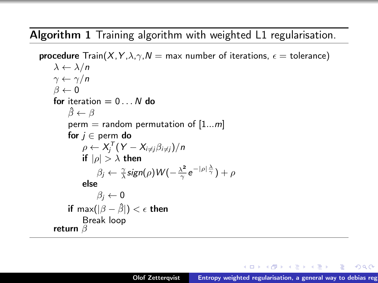Algorithm 1 Training algorithm with weighted L1 regularisation.

**procedure**  $Train(X, Y, \lambda, \gamma, N = \text{max number of iterations, } \epsilon = \text{tolerance})$  $\lambda \leftarrow \lambda/n$  $\gamma \leftarrow \gamma/n$  $\beta \leftarrow 0$ for iteration  $= 0...N$  do  $\beta \leftarrow \beta$ perm = random permutation of  $[1...m]$ for  $j \in$  perm do  $\rho \leftarrow X_j^{\mathcal{T}}(Y - X_{i \neq j} \beta_{i \neq j})/n$ if  $|p| > \lambda$  then  $\beta_j \leftarrow \frac{\gamma}{\lambda}$ sign $(\rho)$ W $(-\frac{\lambda^2}{\gamma})$  $\frac{\lambda^2}{\gamma}e^{-|\rho|\frac{\lambda}{\gamma}})+\rho$ else  $\beta_i \leftarrow 0$ if max $(|\beta - \hat{\beta}|) < \epsilon$  then Break loop return β

オロメ オ何 トラ ミトライチャ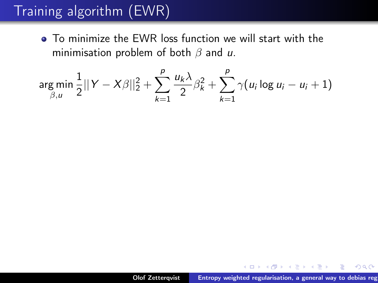# Training algorithm (EWR)

To minimize the EWR loss function we will start with the minimisation problem of both  $\beta$  and u.

$$
\underset{\beta, u}{\arg \min} \frac{1}{2} ||Y - X\beta||_2^2 + \sum_{k=1}^p \frac{u_k \lambda}{2} \beta_k^2 + \sum_{k=1}^p \gamma(u_i \log u_i - u_i + 1)
$$

メロメ メタメ メミメ メミメ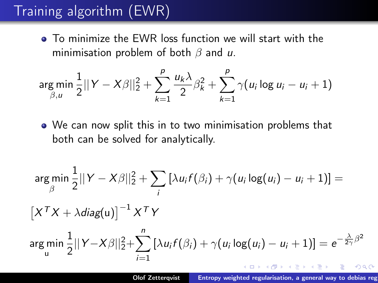# Training algorithm (EWR)

To minimize the EWR loss function we will start with the minimisation problem of both  $\beta$  and u.

$$
\underset{\beta, u}{\arg \min} \frac{1}{2} ||Y - X\beta||_2^2 + \sum_{k=1}^p \frac{u_k \lambda}{2} \beta_k^2 + \sum_{k=1}^p \gamma(u_i \log u_i - u_i + 1)
$$

We can now split this in to two minimisation problems that both can be solved for analytically.

$$
\arg\min_{\beta} \frac{1}{2} ||Y - X\beta||_2^2 + \sum_i \left[ \lambda u_i f(\beta_i) + \gamma (u_i \log(u_i) - u_i + 1) \right] =
$$
\n
$$
\left[ X^T X + \lambda \operatorname{diag}(u) \right]^{-1} X^T Y
$$
\n
$$
\arg\min_{u} \frac{1}{2} ||Y - X\beta||_2^2 + \sum_{i=1}^n \left[ \lambda u_i f(\beta_i) + \gamma (u_i \log(u_i) - u_i + 1) \right] = e^{-\frac{\lambda}{2\gamma}\beta^2}
$$

 $\alpha \sim$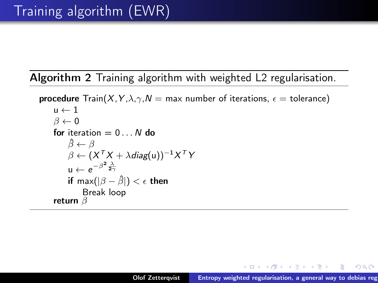Algorithm 2 Training algorithm with weighted L2 regularisation.

**procedure** Train(X, Y,  $\lambda$ ,  $\gamma$ ,  $N =$  max number of iterations,  $\epsilon =$  tolerance)  $u \leftarrow 1$  $\beta \leftarrow 0$ for iteration  $= 0...N$  do  $\beta \leftarrow \beta$  $\beta \leftarrow (X^{\mathsf{T}}X + \lambda\mathsf{diag}(\mathsf{u}))^{-1}X^{\mathsf{T}}Y$  $u \leftarrow e^{-\beta^2 \frac{\lambda}{2\gamma}}$ if max $(|\beta - \hat{\beta}|) < \epsilon$  then Break loop return  $\beta$ 

メロメ メ御 メメ ミメ メ ミメー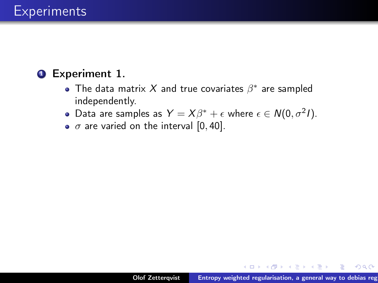#### **1** Experiment 1.

- The data matrix X and true covariates  $\beta^*$  are sampled independently.
- Data are samples as  $Y = X\beta^* + \epsilon$  where  $\epsilon \in N(0, \sigma^2 I)$ .
- $\bullet$   $\sigma$  are varied on the interval [0, 40].

→ 伊 ト → ミ ト → モ ト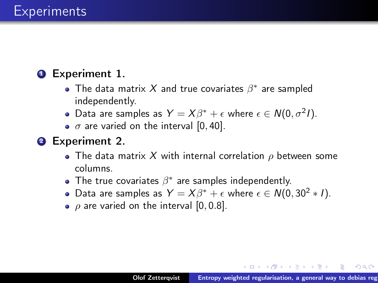#### **1** Experiment 1.

- The data matrix X and true covariates  $\beta^*$  are sampled independently.
- Data are samples as  $Y = X\beta^* + \epsilon$  where  $\epsilon \in N(0, \sigma^2 I)$ .
- $\bullet$   $\sigma$  are varied on the interval [0, 40].

#### **2** Experiment 2.

- The data matrix X with internal correlation  $\rho$  between some columns.
- The true covariates  $\beta^*$  are samples independently.
- Data are samples as  $Y = X\beta^* + \epsilon$  where  $\epsilon \in N(0, 30^2 * 1)$ .
- $\rho$  are varied on the interval [0,0.8].

オロメ オ何 トラ ミトライチャ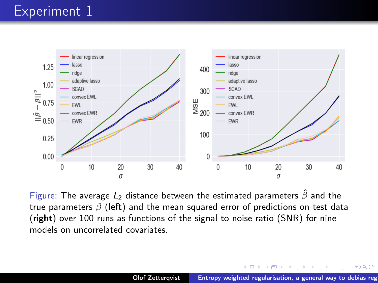

Figure: The average  $L_2$  distance between the estimated parameters  $\hat{\beta}$  and the true parameters  $\beta$  (left) and the mean squared error of predictions on test data (right) over 100 runs as functions of the signal to noise ratio (SNR) for nine models on uncorrelated covariates.

 $(1, 1)$   $(1, 1)$   $(1, 1)$   $(1, 1)$   $(1, 1)$   $(1, 1)$   $(1, 1)$ 

メモト

 $2Q$ 

Ξ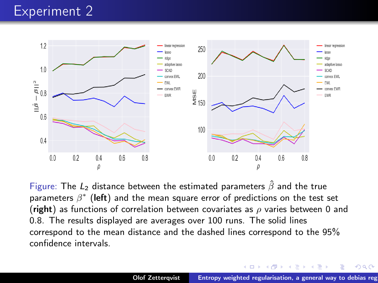### Experiment 2



Figure: The  $L_2$  distance between the estimated parameters  $\hat{\beta}$  and the true parameters  $\beta^*$  (left) and the mean square error of predictions on the test set (right) as functions of correlation between covariates as  $\rho$  varies between 0 and 0.8. The results displayed are averages over 100 runs. The solid lines correspond to the mean distance and the dashed lines correspond to the 95% confidence intervals.

メロメ メ御 メメ ヨメ メヨメ

 $2Q$ 

Ξ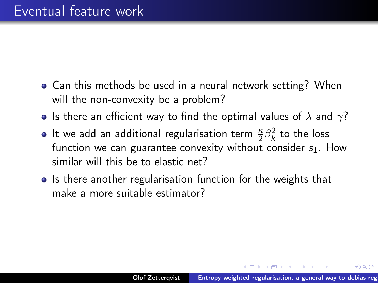- Can this methods be used in a neural network setting? When will the non-convexity be a problem?
- $\bullet$  Is there an efficient way to find the optimal values of  $\lambda$  and  $\gamma?$
- It we add an additional regularisation term  $\frac{\kappa}{2}\beta_k^2$  to the loss function we can guarantee convexity without consider  $s_1$ . How similar will this be to elastic net?
- Is there another regularisation function for the weights that make a more suitable estimator?

御 ▶ イ君 ▶ イ君 ▶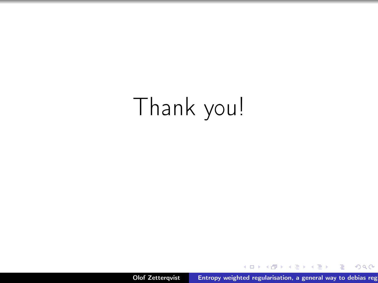# Thank you!

Olof Zetterqvist **Entropy weighted regularisation**, a general way to debias reg

メロメ メタメ メミメ メミメ

重

 $298$